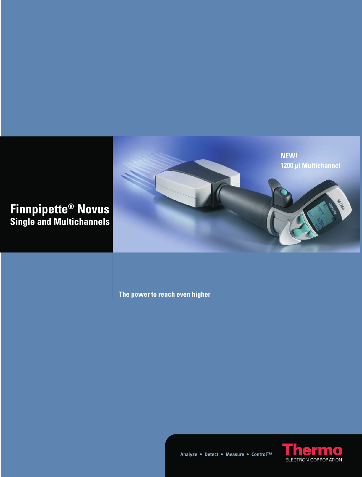

**The power to reach even higher**



**Analyze • Detect • Measure • Control™**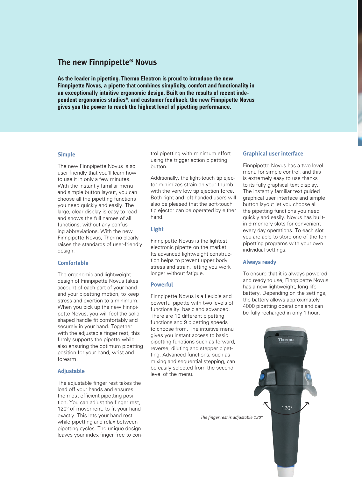# **The new Finnpipette® Novus**

**As the leader in pipetting, Thermo Electron is proud to introduce the new Finnpipette Novus, a pipette that combines simplicity, comfort and functionality in an exceptionally intuitive ergonomic design. Built on the results of recent independent ergonomics studies\*, and customer feedback, the new Finnpipette Novus gives you the power to reach the highest level of pipetting performance.**

#### **Simple**

The new Finnpipette Novus is so user-friendly that you'll learn how to use it in only a few minutes. With the instantly familiar menu and simple button layout, you can choose all the pipetting functions you need quickly and easily. The large, clear display is easy to read and shows the full names of all functions, without any confusing abbreviations. With the new Finnpipette Novus, Thermo clearly raises the standards of user-friendly design.

## **Comfortable**

The ergonomic and lightweight design of Finnpipette Novus takes account of each part of your hand and your pipetting motion, to keep stress and exertion to a minimum. When you pick up the new Finnpipette Novus, you will feel the solid shaped handle fit comfortably and securely in your hand. Together with the adjustable finger rest, this firmly supports the pipette while also ensuring the optimum pipetting position for your hand, wrist and forearm.

#### **Adjustable**

The adjustable finger rest takes the load off your hands and ensures the most efficient pipetting position. You can adjust the finger rest, 120° of movement, to fit your hand exactly. This lets your hand rest while pipetting and relax between pipetting cycles. The unique design leaves your index finger free to control pipetting with minimum effort using the trigger action pipetting button.

Additionally, the light-touch tip ejector minimizes strain on your thumb with the very low tip ejection force. Both right and left-handed users will also be pleased that the soft-touch tip ejector can be operated by either hand.

## **Light**

Finnpipette Novus is the lightest electronic pipette on the market. Its advanced lightweight construction helps to prevent upper body stress and strain, letting you work longer without fatigue.

### **Powerful**

Finnpipette Novus is a flexible and powerful pipette with two levels of functionality: basic and advanced. There are 10 different pipetting functions and 9 pipetting speeds to choose from. The intuitive menu gives you instant access to basic pipetting functions such as forward, reverse, diluting and stepper pipetting. Advanced functions, such as mixing and sequential stepping, can be easily selected from the second level of the menu.

#### **Graphical user interface**

Finnpipette Novus has a two level menu for simple control, and this is extremely easy to use thanks to its fully graphical text display. The instantly familiar text guided graphical user interface and simple button layout let you choose all the pipetting functions you need quickly and easily. Novus has builtin 9 memory slots for convenient every day operations. To each slot you are able to store one of the ten pipetting programs with your own individual settings.

### **Always ready**

To ensure that it is always powered and ready to use, Finnpipette Novus has a new lightweight, long life battery. Depending on the settings, the battery allows approximately 4000 pipetting operations and can be fully recharged in only 1 hour.

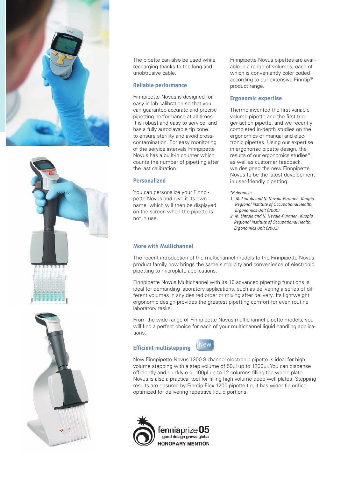





The pipette can also be used while recharging thanks to the long and unobtrusive cable.

#### **Reliable performance**

Finnpipette Novus is designed for easy in-lab calibration so that you can guarantee accurate and precise pipetting performance at all times. It is robust and easy to service, and has a fully autoclavable tip cone to ensure sterility and avoid crosscontamination. For easy monitoring of the service intervals Finnpipette Novus has a built-in counter which counts the number of pipetting after the last calibration.

#### **Personalized**

You can personalize your Finnpipette Novus and give it its own name, which will then be displayed on the screen when the pipette is not in use.

Finnpipette Novus pipettes are available in a range of volumes, each of which is conveniently color coded according to our extensive Finntip® product range.

## **Ergonomic expertise**

Thermo invented the first variable volume pipette and the first trigger-action pipette, and we recently completed in-depth studies on the ergonomics of manual and electronic pipettes. Using our expertise in ergonomic pipette design, the results of our ergonomics studies\*, as well as customer feedback, we designed the new Finnpipette Novus to be the latest development in user-friendly pipetting.

#### *\*References*

- *1. M. Lintula and N. Nevala-Puranen, Kuopio Regional Institute of Occupational Health, Ergonomics Unit (2000)*
- *2. M. Lintula and N. Nevala-Puranen, Kuopio Regional Institute of Occupational Health, Ergonomics Unit (2002)*

#### **More with Multichannel**

The recent introduction of the multichannel models to the Finnpipette Novus product family now brings the same simplicity and convenience of electronic pipetting to microplate applications.

Finnpipette Novus Multichannel with its 10 advanced pipetting functions is ideal for demanding laboratory applications, such as delivering a series of different volumes in any desired order or mixing after delivery. Its lightweight, ergonomic design provides the greatest pipetting comfort for even routine laboratory tasks.

From the wide range of Finnpipette Novus multichannel pipette models, you will find a perfect choice for each of your multichannel liquid handling applications.

# **Efficient multistepping**



New Finnpipette Novus 1200 8-channel electronic pipette is ideal for high volume stepping with a step volume of 50µl up to 1200µl. You can dispense efficiently and quickly e.g. 100µl up to 12 columns filling the whole plate. Novus is also a practical tool for filling high volume deep well plates. Stepping results are ensured by Finntip Flex 1200 pipette tip, it has wider tip orifice optimized for delivering repetitive liquid portions.

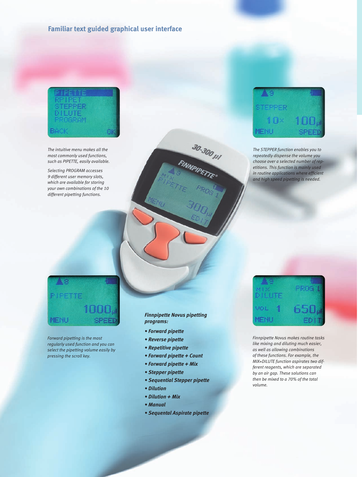# **Familiar text guided graphical user interface**



*The intuitive menu makes all the most commonly used functions, such as PIPETTE, easily available.*

*Selecting PROGRAM accesses 9 different user memory slots, which are available for storing your own combinations of the 10 different pipetting functions.*



*The STEPPER function enables you to repeatedly dispense the volume you choose over a selected number of repetitions. This function is mainly used in routine applications where efficient and high speed pipetting is needed.*

# IPETTE MENU

*Forward pipetting is the most regularly used function and you can select the pipetting volume easily by pressing the scroll key.*

## *Finnpipette Novus pipetting programs:*

30-300 111

- *Forward pipette*
- *Reverse pipette*
- *Repetitive pipette*
- *Forward pipette + Count*
- *Forward pipette + Mix*
- *Stepper pipette*
- *Sequential Stepper pipette*
- *Dilution*
- *Dilution + Mix*
- *Manual*
- *Sequental Aspirate pipette*



*Finnpipette Novus makes routine tasks like mixing and diluting much easier, as well as allowing combinations of these functions. For example, the MIX+DILUTE function aspirates two different reagents, which are separated by an air gap. These solutions can then be mixed to a 70% of the total volume.*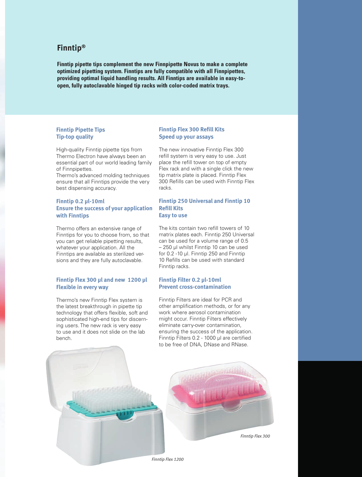# **Finntip®**

**Finntip pipette tips complement the new Finnpipette Novus to make a complete optimized pipetting system. Finntips are fully compatible with all Finnpipettes, providing optimal liquid handling results. All Finntips are available in easy-toopen, fully autoclavable hinged tip racks with color-coded matrix trays.**

# **Finntip Pipette Tips Tip-top quality**

High-quality Finntip pipette tips from Thermo Electron have always been an essential part of our world leading family of Finnpipettes.

Thermo's advanced molding techniques ensure that all Finntips provide the very best dispensing accuracy.

# **Finntip 0.2 μl-10ml Ensure the success of your application with Finntips**

Thermo offers an extensive range of Finntips for you to choose from, so that you can get reliable pipetting results, whatever your application. All the Finntips are available as sterilized versions and they are fully autoclavable.

# **Finntip Flex 300 μl and new 1200 μl Flexible in every way**

Thermo's new Finntip Flex system is the latest breakthrough in pipette tip technology that offers flexible, soft and sophisticated high-end tips for discerning users. The new rack is very easy to use and it does not slide on the lab bench.

## **Finntip Flex 300 Refill Kits Speed up your assays**

The new innovative Finntip Flex 300 refill system is very easy to use. Just place the refill tower on top of empty Flex rack and with a single click the new tip matrix plate is placed. Finntip Flex 300 Refills can be used with Finntip Flex racks.

## **Finntip 250 Universal and Finntip 10 Refill Kits Easy to use**

The kits contain two refill towers of 10 matrix plates each. Finntip 250 Universal can be used for a volume range of 0.5 – 250 µl whilst Finntip 10 can be used for 0.2 -10 µl. Finntip 250 and Finntip 10 Refills can be used with standard Finntip racks.

# **Finntip Filter 0.2 μl-10ml Prevent cross-contamination**

Finntip Filters are ideal for PCR and other amplification methods, or for any work where aerosol contamination might occur. Finntip Filters effectively eliminate carry-over contamination, ensuring the success of the application. Finntip Filters 0.2 - 1000 ul are certified to be free of DNA, DNase and RNase.



*Finntip Flex 1200*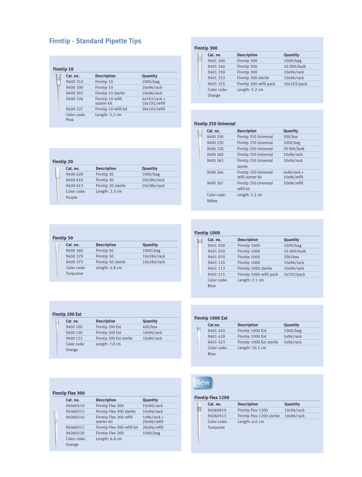# **Finntip - Standard Pipette Tips**

| Cat. no.            | <b>Description</b>               | Quantity                        |
|---------------------|----------------------------------|---------------------------------|
| 9400 310            | Finntip 10                       | 1000/bag                        |
| 9400 300            | Finntip 10                       | 10x96/rack                      |
| 9400 303            | Finntip 10 sterile               | 10x96/rack                      |
| 9400 326            | Finntip 10 refill<br>starter kit | $4x192/rack +$<br>10x192/refill |
| 9400 327            | Finntip 10 refill kit            | 20x192/refill                   |
| Color code:<br>Pink | Length: 3.2 cm                   |                                 |

| <b>Finntip 300</b> |                         |             |  |
|--------------------|-------------------------|-------------|--|
| Cat. no.           | <b>Description</b>      | Quantity    |  |
| 9401 260           | Finntip 300             | 1000/bag    |  |
| 9401 240           | Finntip 300             | 20 000/bulk |  |
| 9401 250           | Finntip 300             | 10x96/rack  |  |
| 9401 253           | Finntip 300 sterile     | 10x96/rack  |  |
| 9401 255           | Finntip 300 refill pack | 10x192/pack |  |
| Color code:        | Length: 5.2 cm          |             |  |
| Orange             |                         |             |  |

#### **Finntip 250 Universal**

| Cat. no.              | <b>Description</b>                          | Quantity                      |
|-----------------------|---------------------------------------------|-------------------------------|
| 9400 250              | Finntip 250 Universal                       | 500/box                       |
| 9400 230              | Finntip 250 Universal                       | 1000/bag                      |
| 9400 220              | Finntip 250 Universal                       | 20 000/bulk                   |
| 9400 260              | Finntip 250 Universal                       | 10x96/rack                    |
| 9400 263              | Finntip 250 Universal<br>sterile            | 10x96/rack                    |
| 9400 266              | Finntip 250 Universal<br>refill starter kit | $4x96/rack +$<br>10x96/refill |
| 9400 267              | Finntip 250 Universal<br>refill kit         | 20x96/refill                  |
| Color code:<br>Yellow | Length: 5.2 cm                              |                               |

| Cat. no.    | <b>Description</b> | Quantity    |
|-------------|--------------------|-------------|
| 9400 620    | Finntip 20         | 1000/bag    |
| 9400 610    | Finntip 20         | 10x384/rack |
| 9400 613    | Finntip 20 sterile | 10x384/rack |
| Color code: | Length: 3.3 cm     |             |
| Purple      |                    |             |

| Cat. no.    | <b>Description</b> | Quantity    |
|-------------|--------------------|-------------|
| 9400 360    | Finntip 50         | 1000/bag    |
| 9400 370    | Finntip 50         | 10x384/rack |
| 9400 373    | Finntip 50 sterile | 10x384/rack |
| Color code: | Length: 4.8 cm     |             |
| Turquoise   |                    |             |

| Finntip 200 Ext<br>$400/b$ ox<br>9400 100<br>Finntip 200 Ext<br>10x96/rack<br>9400 130<br>10x96/rack<br>9400 133 | Finntip 200 Ext sterile |
|------------------------------------------------------------------------------------------------------------------|-------------------------|
|                                                                                                                  |                         |
|                                                                                                                  |                         |
|                                                                                                                  |                         |

| <b>Finntip Flex 300</b> |                                        |                               |
|-------------------------|----------------------------------------|-------------------------------|
| Cat. no.                | <b>Description</b>                     | Quantity                      |
| 94060510                | Finntip Flex 300                       | 10x96/rack                    |
| 94060513                | Finntip Flex 300 sterile               | 10x96/rack                    |
| 94060516                | Finntip Flex 300 refill<br>starter kit | $1x96/rack +$<br>20x96/refill |
| 94060517                | Finntip Flex 300 refill kit            | 20x96/refill                  |
| 94060520                | Finntip Flex 300                       | 1000/bag                      |
| Color code:             | Length: 6.0 cm                         |                               |
| Orange                  |                                        |                               |

| Finntip 1000 |                          |             |
|--------------|--------------------------|-------------|
| Cat. no.     | <b>Description</b>       | Quantity    |
| 9401 030     | Finntip 1000             | 1000/bag    |
| 9401 010     | Finntip 1000             | 10 000/bulk |
| 9401 070     | Finntip 1000             | $200/b$ ox  |
| 9401 110     | Finntip 1000             | 10x96/rack  |
| 9401 113     | Finntip 1000 sterile     | 10x96/rack  |
| 9401 115     | Finntip 1000 refill pack | 5x192/pack  |
| Color code:  | Length: 7.1 cm           |             |
| Blue         |                          |             |

| <b>Finntip 1000 Ext</b> |  |  |  |
|-------------------------|--|--|--|
|-------------------------|--|--|--|

| Cat.no.             | <b>Description</b>       | Quantity  |
|---------------------|--------------------------|-----------|
| 9401 410            | Finntip 1000 Ext         | 1000/bag  |
| 9401 420            | Finntip 1000 Ext         | 5x96/rack |
| 9401 423            | Finntip 1000 Ext sterile | 5x96/rack |
| Color code:<br>Blue | Length: $10.5$ cm        |           |

# **New**

# **Finntip Flex 1200**

|  | Cat. no.    | <b>Description</b>        | Quantity   |  |
|--|-------------|---------------------------|------------|--|
|  | 94060810    | Finntip Flex 1200         | 10x96/rack |  |
|  | 94060513    | Finntip Flex 1200 sterile | 10x96/rack |  |
|  | Color code: | Length: $6.0 \text{ cm}$  |            |  |
|  | Turquoise   |                           |            |  |
|  |             |                           |            |  |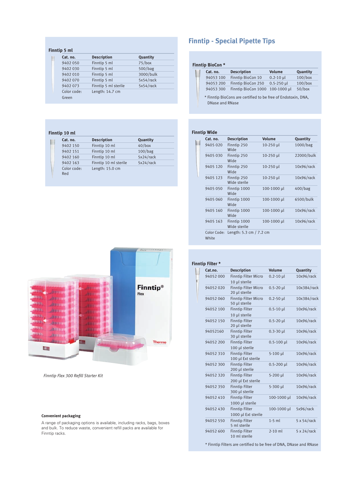| Finntip 5 ml |                      |                 |
|--------------|----------------------|-----------------|
| Cat. no.     | <b>Description</b>   | <b>Quantity</b> |
| 9402 050     | Finntip 5 ml         | $75/b$ ox       |
| 9402 030     | Finntip 5 ml         | 500/bag         |
| 9402 010     | Finntip 5 ml         | 3000/bulk       |
| 9402070      | Finntip 5 ml         | 5x54/rack       |
| 9402073      | Finntip 5 ml sterile | 5x54/rack       |
| Color code:  | Length: 14.7 cm      |                 |
| Green        |                      |                 |

#### **Finntip 10 ml**

| Cat. no.           | <b>Description</b>    | Quantity  |  |
|--------------------|-----------------------|-----------|--|
| 9402 150           | Finntip 10 ml         | $40/b$ ox |  |
| 9402 151           | Finntip 10 ml         | 100/bag   |  |
| 9402 160           | Finntip 10 ml         | 5x24/rack |  |
| 9402 163           | Finntip 10 ml sterile | 5x24/rack |  |
| Color code:<br>Red | Length: 15.0 cm       |           |  |

# **Finntip - Special Pipette Tips**

# **Finntip BioCon \***

| Cat. no.  | <b>Description</b>              | <b>Volume</b>  | Quantity   |
|-----------|---------------------------------|----------------|------------|
| 94053 100 | Finntip BioCon 10               | $0.2 - 10$ µ   | $100/b$ ox |
| 94053 200 | Finntip BioCon 250              | $0.5 - 250$ µl | $100/b$ ox |
| 94053 300 | Finntip BioCon 1000 100-1000 µl |                | $50/b$ ox  |

\* Finntip BioCons are certified to be free of Endotoxin, DNA, DNase and RNase

# **Finntip Wide**

| Cat. no.             | <b>Description</b>           | <b>Volume</b> | Quantity   |
|----------------------|------------------------------|---------------|------------|
| 9405 020             | Finntip 250<br>Wide          | 10-250 µl     | 1000/bag   |
| 9405 030             | Finntip 250<br>Wide          | 10-250 µl     | 22000/bulk |
| 9405 120             | Finntip 250<br>Wide          | 10-250 µl     | 10x96/rack |
| 9405 123             | Finntip 250<br>Wide sterile  | 10-250 µl     | 10x96/rack |
| 9405 050             | Finntip 1000<br>Wide         | 100-1000 µl   | 400/bag    |
| 9405 060             | Finntip 1000<br>Wide         | 100-1000 µl   | 6500/bulk  |
| 9405 160             | Finntip 1000<br>Wide         | 100-1000 µl   | 10x96/rack |
| 9405 163             | Finntip 1000<br>Wide sterile | 100-1000 µl   | 10x96/rack |
| Color Code:<br>White | Length: 5.3 cm $/$ 7.2 cm    |               |            |



**Finntip Flex 300 Refill Starter Kit** 

#### **Convenient packaging**

A range of packaging options is available, including racks, bags, boxes and bulk. To reduce waste, convenient refill packs are available for Finntip racks.

| <b>Finntip Filter *</b> |                                              |                |                     |
|-------------------------|----------------------------------------------|----------------|---------------------|
| Cat.no.                 | <b>Description</b>                           | <b>Volume</b>  | Quantity            |
| 94052000                | <b>Finntip Filter Micro</b><br>10 µl sterile | $0.2 - 10$ µ   | 10x96/rack          |
| 94052020                | <b>Finntip Filter Micro</b><br>20 µl sterile | $0.5 - 20$ µl  | 10x384/rack         |
| 94052060                | <b>Finntip Filter Micro</b><br>50 µl sterile | $0.2 - 50$ µl  | 10x384/rack         |
| 94052 100               | <b>Finntip Filter</b><br>10 µl sterile       | $0.5 - 10$ µ   | 10x96/rack          |
| 94052 150               | <b>Finntip Filter</b><br>20 µl sterile       | $0.5 - 20$ µl  | 10x96/rack          |
| 94052160                | <b>Finntip Filter</b><br>30 µl sterile       | $0.3 - 30$ µl  | 10x96/rack          |
| 94052 200               | <b>Finntip Filter</b><br>100 µl sterile      | $0.5 - 100$ µl | 10x96/rack          |
| 94052 310               | <b>Finntip Filter</b><br>100 µl Ext sterile  | 5-100 µl       | 10x96/rack          |
| 94052 300               | <b>Finntip Filter</b><br>200 µl sterile      | $0.5 - 200$ µl | 10x96/rack          |
| 94052 320               | <b>Finntip Filter</b><br>200 µl Ext sterile  | 5-200 µl       | 10x96/rack          |
| 94052350                | <b>Finntip Filter</b><br>300 µl sterile      | 5-300 µl       | 10x96/rack          |
| 94052410                | <b>Finntip Filter</b><br>1000 µl sterile     | 100-1000 µl    | 10x96/rack          |
| 94052 430               | <b>Finntip Filter</b><br>1000 µl Ext sterile | 100-1000 µl    | 5x96/rack           |
| 94052 550               | <b>Finntip Filter</b><br>5 ml sterile        | $1-5$ ml       | $5 \times 54$ /rack |
| 94052 600               | <b>Finntip Filter</b><br>10 ml sterile       | $2-10$ ml      | 5 x 24/rack         |

\* Finntip Filters are certified to be free of DNA, DNase and RNase